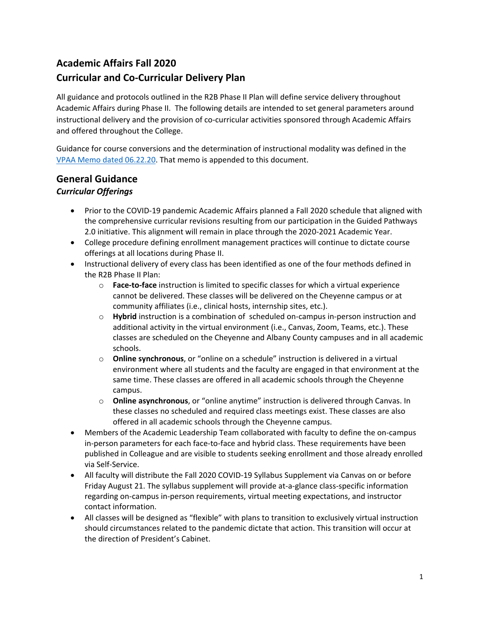# **Academic Affairs Fall 2020 Curricular and Co-Curricular Delivery Plan**

All guidance and protocols outlined in the R2B Phase II Plan will define service delivery throughout Academic Affairs during Phase II. The following details are intended to set general parameters around instructional delivery and the provision of co-curricular activities sponsored through Academic Affairs and offered throughout the College.

Guidance for course conversions and the determination of instructional modality was defined in the [VPAA Memo dated 06.22.20.](#page-10-0) That memo is appended to this document.

## **General Guidance** *Curricular Offerings*

- Prior to the COVID-19 pandemic Academic Affairs planned a Fall 2020 schedule that aligned with the comprehensive curricular revisions resulting from our participation in the Guided Pathways 2.0 initiative. This alignment will remain in place through the 2020-2021 Academic Year.
- College procedure defining enrollment management practices will continue to dictate course offerings at all locations during Phase II.
- Instructional delivery of every class has been identified as one of the four methods defined in the R2B Phase II Plan:
	- o **Face-to-face** instruction is limited to specific classes for which a virtual experience cannot be delivered. These classes will be delivered on the Cheyenne campus or at community affiliates (i.e., clinical hosts, internship sites, etc.).
	- o **Hybrid** instruction is a combination of scheduled on-campus in-person instruction and additional activity in the virtual environment (i.e., Canvas, Zoom, Teams, etc.). These classes are scheduled on the Cheyenne and Albany County campuses and in all academic schools.
	- o **Online synchronous**, or "online on a schedule" instruction is delivered in a virtual environment where all students and the faculty are engaged in that environment at the same time. These classes are offered in all academic schools through the Cheyenne campus.
	- o **Online asynchronous**, or "online anytime" instruction is delivered through Canvas. In these classes no scheduled and required class meetings exist. These classes are also offered in all academic schools through the Cheyenne campus.
- Members of the Academic Leadership Team collaborated with faculty to define the on-campus in-person parameters for each face-to-face and hybrid class. These requirements have been published in Colleague and are visible to students seeking enrollment and those already enrolled via Self-Service.
- All faculty will distribute the Fall 2020 COVID-19 Syllabus Supplement via Canvas on or before Friday August 21. The syllabus supplement will provide at-a-glance class-specific information regarding on-campus in-person requirements, virtual meeting expectations, and instructor contact information.
- All classes will be designed as "flexible" with plans to transition to exclusively virtual instruction should circumstances related to the pandemic dictate that action. This transition will occur at the direction of President's Cabinet.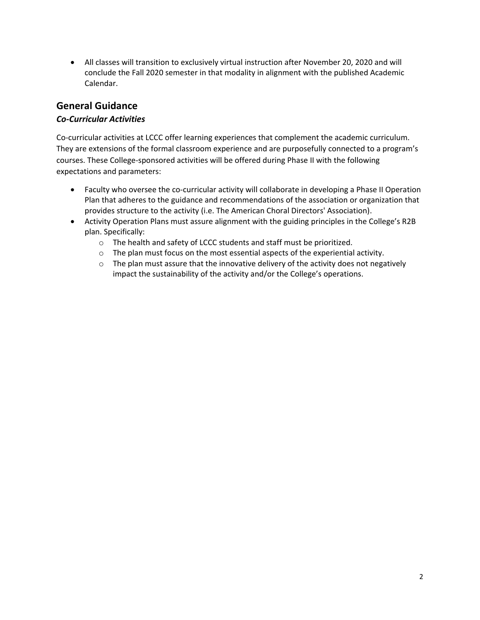• All classes will transition to exclusively virtual instruction after November 20, 2020 and will conclude the Fall 2020 semester in that modality in alignment with the published Academic Calendar.

## **General Guidance**

#### *Co-Curricular Activities*

Co-curricular activities at LCCC offer learning experiences that complement the academic curriculum. They are extensions of the formal classroom experience and are purposefully connected to a program's courses. These College-sponsored activities will be offered during Phase II with the following expectations and parameters:

- Faculty who oversee the co-curricular activity will collaborate in developing a Phase II Operation Plan that adheres to the guidance and recommendations of the association or organization that provides structure to the activity (i.e. The American Choral Directors' Association).
- Activity Operation Plans must assure alignment with the guiding principles in the College's R2B plan. Specifically:
	- o The health and safety of LCCC students and staff must be prioritized.
	- o The plan must focus on the most essential aspects of the experiential activity.
	- $\circ$  The plan must assure that the innovative delivery of the activity does not negatively impact the sustainability of the activity and/or the College's operations.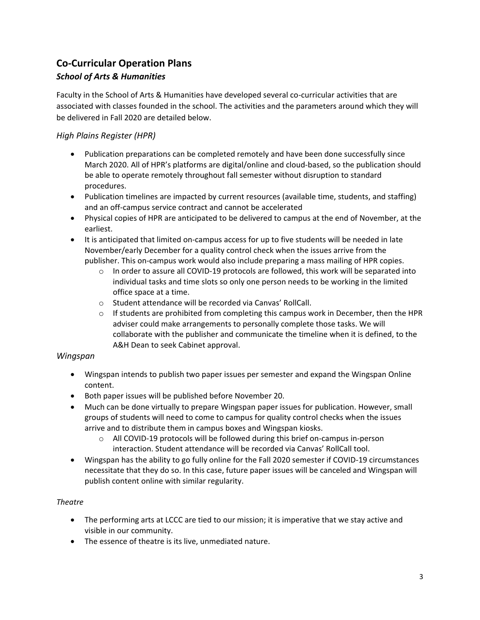# **Co-Curricular Operation Plans**

# *School of Arts & Humanities*

Faculty in the School of Arts & Humanities have developed several co-curricular activities that are associated with classes founded in the school. The activities and the parameters around which they will be delivered in Fall 2020 are detailed below.

## *High Plains Register (HPR)*

- Publication preparations can be completed remotely and have been done successfully since March 2020. All of HPR's platforms are digital/online and cloud-based, so the publication should be able to operate remotely throughout fall semester without disruption to standard procedures.
- Publication timelines are impacted by current resources (available time, students, and staffing) and an off-campus service contract and cannot be accelerated
- Physical copies of HPR are anticipated to be delivered to campus at the end of November, at the earliest.
- It is anticipated that limited on-campus access for up to five students will be needed in late November/early December for a quality control check when the issues arrive from the publisher. This on-campus work would also include preparing a mass mailing of HPR copies.
	- $\circ$  In order to assure all COVID-19 protocols are followed, this work will be separated into individual tasks and time slots so only one person needs to be working in the limited office space at a time.
	- o Student attendance will be recorded via Canvas' RollCall.
	- $\circ$  If students are prohibited from completing this campus work in December, then the HPR adviser could make arrangements to personally complete those tasks. We will collaborate with the publisher and communicate the timeline when it is defined, to the A&H Dean to seek Cabinet approval.

#### *Wingspan*

- Wingspan intends to publish two paper issues per semester and expand the Wingspan Online content.
- Both paper issues will be published before November 20.
- Much can be done virtually to prepare Wingspan paper issues for publication. However, small groups of students will need to come to campus for quality control checks when the issues arrive and to distribute them in campus boxes and Wingspan kiosks.
	- $\circ$  All COVID-19 protocols will be followed during this brief on-campus in-person interaction. Student attendance will be recorded via Canvas' RollCall tool.
- Wingspan has the ability to go fully online for the Fall 2020 semester if COVID-19 circumstances necessitate that they do so. In this case, future paper issues will be canceled and Wingspan will publish content online with similar regularity.

#### *Theatre*

- The performing arts at LCCC are tied to our mission; it is imperative that we stay active and visible in our community.
- The essence of theatre is its live, unmediated nature.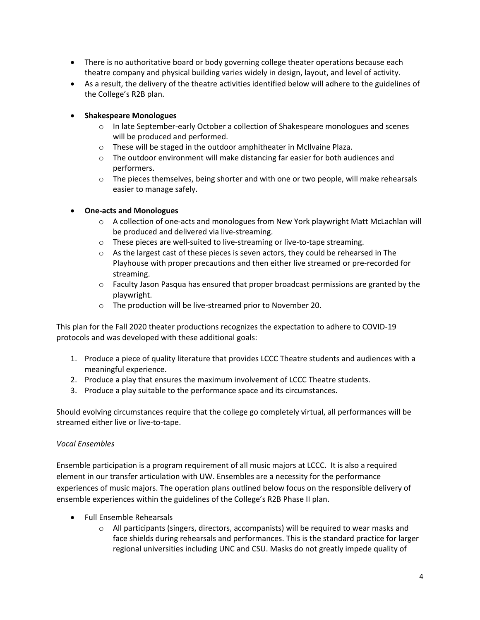- There is no authoritative board or body governing college theater operations because each theatre company and physical building varies widely in design, layout, and level of activity.
- As a result, the delivery of the theatre activities identified below will adhere to the guidelines of the College's R2B plan.

#### • **Shakespeare Monologues**

- $\circ$  In late September-early October a collection of Shakespeare monologues and scenes will be produced and performed.
- o These will be staged in the outdoor amphitheater in McIlvaine Plaza.
- $\circ$  The outdoor environment will make distancing far easier for both audiences and performers.
- $\circ$  The pieces themselves, being shorter and with one or two people, will make rehearsals easier to manage safely.

#### • **One-acts and Monologues**

- o A collection of one-acts and monologues from New York playwright Matt McLachlan will be produced and delivered via live-streaming.
- o These pieces are well-suited to live-streaming or live-to-tape streaming.
- $\circ$  As the largest cast of these pieces is seven actors, they could be rehearsed in The Playhouse with proper precautions and then either live streamed or pre-recorded for streaming.
- $\circ$  Faculty Jason Pasqua has ensured that proper broadcast permissions are granted by the playwright.
- o The production will be live-streamed prior to November 20.

This plan for the Fall 2020 theater productions recognizes the expectation to adhere to COVID-19 protocols and was developed with these additional goals:

- 1. Produce a piece of quality literature that provides LCCC Theatre students and audiences with a meaningful experience.
- 2. Produce a play that ensures the maximum involvement of LCCC Theatre students.
- 3. Produce a play suitable to the performance space and its circumstances.

Should evolving circumstances require that the college go completely virtual, all performances will be streamed either live or live-to-tape.

#### *Vocal Ensembles*

Ensemble participation is a program requirement of all music majors at LCCC. It is also a required element in our transfer articulation with UW. Ensembles are a necessity for the performance experiences of music majors. The operation plans outlined below focus on the responsible delivery of ensemble experiences within the guidelines of the College's R2B Phase II plan.

- Full Ensemble Rehearsals
	- $\circ$  All participants (singers, directors, accompanists) will be required to wear masks and face shields during rehearsals and performances. This is the standard practice for larger regional universities including UNC and CSU. Masks do not greatly impede quality of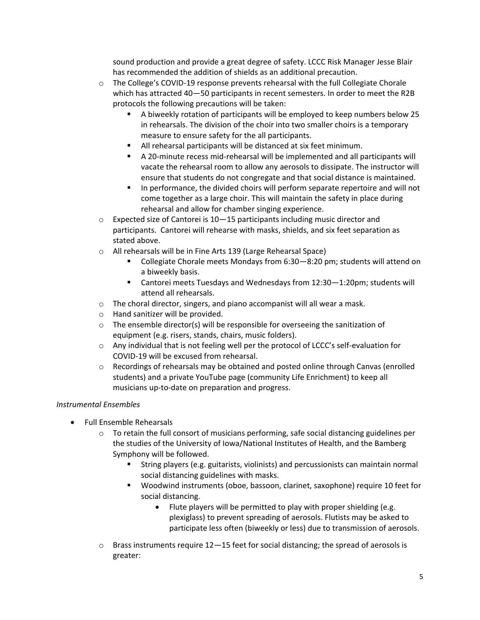sound production and provide a great degree of safety. LCCC Risk Manager Jesse Blair has recommended the addition of shields as an additional precaution.

- o The College's COVID-19 response prevents rehearsal with the full Collegiate Chorale which has attracted 40—50 participants in recent semesters. In order to meet the R2B protocols the following precautions will be taken:
	- A biweekly rotation of participants will be employed to keep numbers below 25 in rehearsals. The division of the choir into two smaller choirs is a temporary measure to ensure safety for the all participants.
	- All rehearsal participants will be distanced at six feet minimum.
	- A 20-minute recess mid-rehearsal will be implemented and all participants will vacate the rehearsal room to allow any aerosols to dissipate. The instructor will ensure that students do not congregate and that social distance is maintained.
	- In performance, the divided choirs will perform separate repertoire and will not come together as a large choir. This will maintain the safety in place during rehearsal and allow for chamber singing experience.
- o Expected size of Cantorei is 10—15 participants including music director and participants. Cantorei will rehearse with masks, shields, and six feet separation as stated above.
- o All rehearsals will be in Fine Arts 139 (Large Rehearsal Space)
	- Collegiate Chorale meets Mondays from 6:30–8:20 pm; students will attend on a biweekly basis.
	- Cantorei meets Tuesdays and Wednesdays from 12:30–1:20pm; students will attend all rehearsals.
- $\circ$  The choral director, singers, and piano accompanist will all wear a mask.
- o Hand sanitizer will be provided.
- $\circ$  The ensemble director(s) will be responsible for overseeing the sanitization of equipment (e.g. risers, stands, chairs, music folders).
- $\circ$  Any individual that is not feeling well per the protocol of LCCC's self-evaluation for COVID-19 will be excused from rehearsal.
- $\circ$  Recordings of rehearsals may be obtained and posted online through Canvas (enrolled students) and a private YouTube page (community Life Enrichment) to keep all musicians up-to-date on preparation and progress.

#### *Instrumental Ensembles*

- Full Ensemble Rehearsals
	- $\circ$  To retain the full consort of musicians performing, safe social distancing guidelines per the studies of the University of Iowa/National Institutes of Health, and the Bamberg Symphony will be followed.
		- String players (e.g. guitarists, violinists) and percussionists can maintain normal social distancing guidelines with masks.
		- Woodwind instruments (oboe, bassoon, clarinet, saxophone) require 10 feet for social distancing.
			- Flute players will be permitted to play with proper shielding (e.g. plexiglass) to prevent spreading of aerosols. Flutists may be asked to participate less often (biweekly or less) due to transmission of aerosols.
	- o Brass instruments require 12—15 feet for social distancing; the spread of aerosols is greater: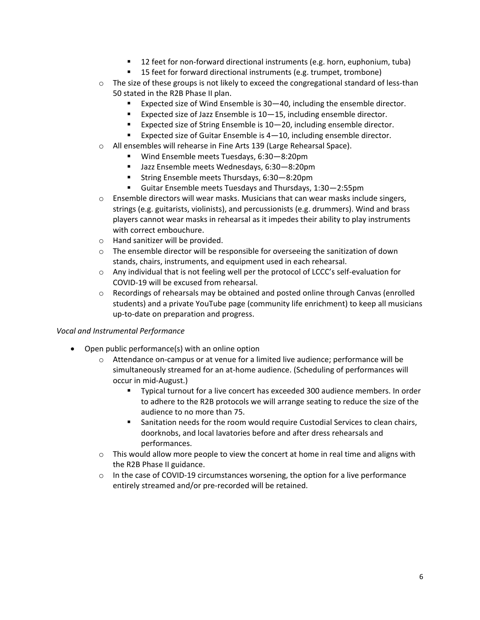- 12 feet for non-forward directional instruments (e.g. horn, euphonium, tuba)
- 15 feet for forward directional instruments (e.g. trumpet, trombone)
- $\circ$  The size of these groups is not likely to exceed the congregational standard of less-than 50 stated in the R2B Phase II plan.
	- Expected size of Wind Ensemble is 30–40, including the ensemble director.
	- Expected size of Jazz Ensemble is 10–15, including ensemble director.
	- Expected size of String Ensemble is 10–20, including ensemble director.
	- **Expected size of Guitar Ensemble is 4–10, including ensemble director.**
- o All ensembles will rehearse in Fine Arts 139 (Large Rehearsal Space).
	- Wind Ensemble meets Tuesdays, 6:30-8:20pm
	- Jazz Ensemble meets Wednesdays, 6:30-8:20pm
	- String Ensemble meets Thursdays, 6:30–8:20pm
	- Guitar Ensemble meets Tuesdays and Thursdays, 1:30—2:55pm
- $\circ$  Ensemble directors will wear masks. Musicians that can wear masks include singers, strings (e.g. guitarists, violinists), and percussionists (e.g. drummers). Wind and brass players cannot wear masks in rehearsal as it impedes their ability to play instruments with correct embouchure.
- o Hand sanitizer will be provided.
- $\circ$  The ensemble director will be responsible for overseeing the sanitization of down stands, chairs, instruments, and equipment used in each rehearsal.
- $\circ$  Any individual that is not feeling well per the protocol of LCCC's self-evaluation for COVID-19 will be excused from rehearsal.
- $\circ$  Recordings of rehearsals may be obtained and posted online through Canvas (enrolled students) and a private YouTube page (community life enrichment) to keep all musicians up-to-date on preparation and progress.

#### *Vocal and Instrumental Performance*

- Open public performance(s) with an online option
	- $\circ$  Attendance on-campus or at venue for a limited live audience; performance will be simultaneously streamed for an at-home audience. (Scheduling of performances will occur in mid-August.)
		- Typical turnout for a live concert has exceeded 300 audience members. In order to adhere to the R2B protocols we will arrange seating to reduce the size of the audience to no more than 75.
		- Sanitation needs for the room would require Custodial Services to clean chairs, doorknobs, and local lavatories before and after dress rehearsals and performances.
	- $\circ$  This would allow more people to view the concert at home in real time and aligns with the R2B Phase II guidance.
	- $\circ$  In the case of COVID-19 circumstances worsening, the option for a live performance entirely streamed and/or pre-recorded will be retained.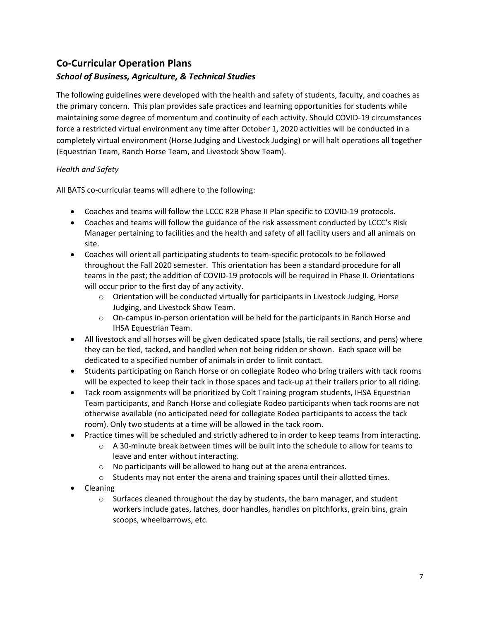# **Co-Curricular Operation Plans**

## *School of Business, Agriculture, & Technical Studies*

The following guidelines were developed with the health and safety of students, faculty, and coaches as the primary concern. This plan provides safe practices and learning opportunities for students while maintaining some degree of momentum and continuity of each activity. Should COVID-19 circumstances force a restricted virtual environment any time after October 1, 2020 activities will be conducted in a completely virtual environment (Horse Judging and Livestock Judging) or will halt operations all together (Equestrian Team, Ranch Horse Team, and Livestock Show Team).

#### *Health and Safety*

All BATS co-curricular teams will adhere to the following:

- Coaches and teams will follow the LCCC R2B Phase II Plan specific to COVID-19 protocols.
- Coaches and teams will follow the guidance of the risk assessment conducted by LCCC's Risk Manager pertaining to facilities and the health and safety of all facility users and all animals on site.
- Coaches will orient all participating students to team-specific protocols to be followed throughout the Fall 2020 semester. This orientation has been a standard procedure for all teams in the past; the addition of COVID-19 protocols will be required in Phase II. Orientations will occur prior to the first day of any activity.
	- $\circ$  Orientation will be conducted virtually for participants in Livestock Judging, Horse Judging, and Livestock Show Team.
	- o On-campus in-person orientation will be held for the participants in Ranch Horse and IHSA Equestrian Team.
- All livestock and all horses will be given dedicated space (stalls, tie rail sections, and pens) where they can be tied, tacked, and handled when not being ridden or shown. Each space will be dedicated to a specified number of animals in order to limit contact.
- Students participating on Ranch Horse or on collegiate Rodeo who bring trailers with tack rooms will be expected to keep their tack in those spaces and tack-up at their trailers prior to all riding.
- Tack room assignments will be prioritized by Colt Training program students, IHSA Equestrian Team participants, and Ranch Horse and collegiate Rodeo participants when tack rooms are not otherwise available (no anticipated need for collegiate Rodeo participants to access the tack room). Only two students at a time will be allowed in the tack room.
- Practice times will be scheduled and strictly adhered to in order to keep teams from interacting.
	- $\circ$  A 30-minute break between times will be built into the schedule to allow for teams to leave and enter without interacting.
	- o No participants will be allowed to hang out at the arena entrances.
	- o Students may not enter the arena and training spaces until their allotted times.
- Cleaning
	- $\circ$  Surfaces cleaned throughout the day by students, the barn manager, and student workers include gates, latches, door handles, handles on pitchforks, grain bins, grain scoops, wheelbarrows, etc.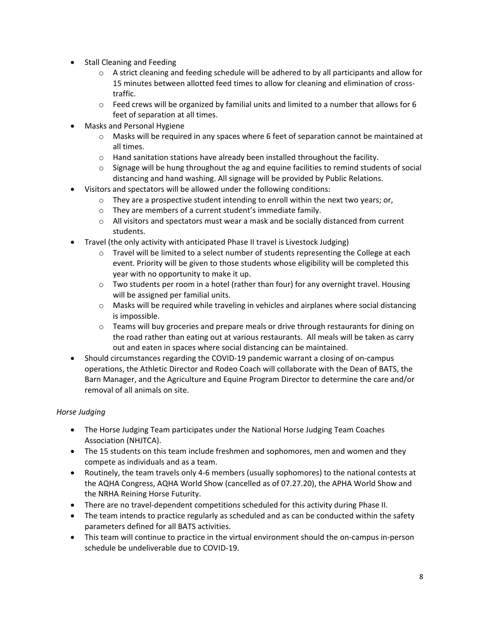- Stall Cleaning and Feeding
	- $\circ$  A strict cleaning and feeding schedule will be adhered to by all participants and allow for 15 minutes between allotted feed times to allow for cleaning and elimination of crosstraffic.
	- $\circ$  Feed crews will be organized by familial units and limited to a number that allows for 6 feet of separation at all times.
- Masks and Personal Hygiene
	- o Masks will be required in any spaces where 6 feet of separation cannot be maintained at all times.
	- $\circ$  Hand sanitation stations have already been installed throughout the facility.
	- $\circ$  Signage will be hung throughout the ag and equine facilities to remind students of social distancing and hand washing. All signage will be provided by Public Relations.
- Visitors and spectators will be allowed under the following conditions:
	- $\circ$  They are a prospective student intending to enroll within the next two years; or,
	- o They are members of a current student's immediate family.
	- $\circ$  All visitors and spectators must wear a mask and be socially distanced from current students.
- Travel (the only activity with anticipated Phase II travel is Livestock Judging)
	- $\circ$  Travel will be limited to a select number of students representing the College at each event. Priority will be given to those students whose eligibility will be completed this year with no opportunity to make it up.
	- $\circ$  Two students per room in a hotel (rather than four) for any overnight travel. Housing will be assigned per familial units.
	- o Masks will be required while traveling in vehicles and airplanes where social distancing is impossible.
	- $\circ$  Teams will buy groceries and prepare meals or drive through restaurants for dining on the road rather than eating out at various restaurants. All meals will be taken as carry out and eaten in spaces where social distancing can be maintained.
- Should circumstances regarding the COVID-19 pandemic warrant a closing of on-campus operations, the Athletic Director and Rodeo Coach will collaborate with the Dean of BATS, the Barn Manager, and the Agriculture and Equine Program Director to determine the care and/or removal of all animals on site.

#### *Horse Judging*

- The Horse Judging Team participates under the National Horse Judging Team Coaches Association (NHJTCA).
- The 15 students on this team include freshmen and sophomores, men and women and they compete as individuals and as a team.
- Routinely, the team travels only 4-6 members (usually sophomores) to the national contests at the AQHA Congress, AQHA World Show (cancelled as of 07.27.20), the APHA World Show and the NRHA Reining Horse Futurity.
- There are no travel-dependent competitions scheduled for this activity during Phase II.
- The team intends to practice regularly as scheduled and as can be conducted within the safety parameters defined for all BATS activities.
- This team will continue to practice in the virtual environment should the on-campus in-person schedule be undeliverable due to COVID-19.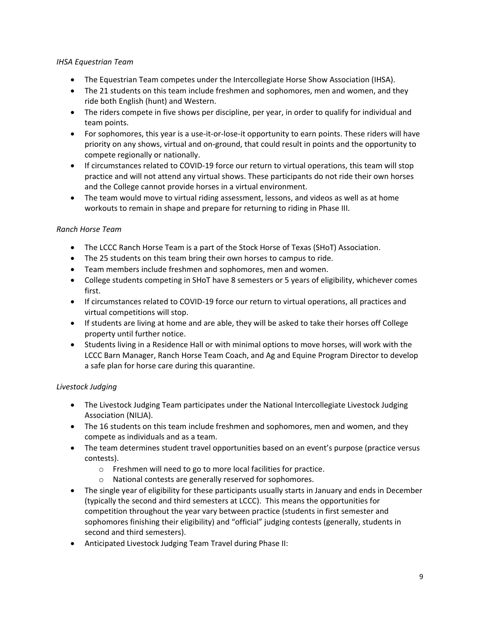#### *IHSA Equestrian Team*

- The Equestrian Team competes under the Intercollegiate Horse Show Association (IHSA).
- The 21 students on this team include freshmen and sophomores, men and women, and they ride both English (hunt) and Western.
- The riders compete in five shows per discipline, per year, in order to qualify for individual and team points.
- For sophomores, this year is a use-it-or-lose-it opportunity to earn points. These riders will have priority on any shows, virtual and on-ground, that could result in points and the opportunity to compete regionally or nationally.
- If circumstances related to COVID-19 force our return to virtual operations, this team will stop practice and will not attend any virtual shows. These participants do not ride their own horses and the College cannot provide horses in a virtual environment.
- The team would move to virtual riding assessment, lessons, and videos as well as at home workouts to remain in shape and prepare for returning to riding in Phase III.

#### *Ranch Horse Team*

- The LCCC Ranch Horse Team is a part of the Stock Horse of Texas (SHoT) Association.
- The 25 students on this team bring their own horses to campus to ride.
- Team members include freshmen and sophomores, men and women.
- College students competing in SHoT have 8 semesters or 5 years of eligibility, whichever comes first.
- If circumstances related to COVID-19 force our return to virtual operations, all practices and virtual competitions will stop.
- If students are living at home and are able, they will be asked to take their horses off College property until further notice.
- Students living in a Residence Hall or with minimal options to move horses, will work with the LCCC Barn Manager, Ranch Horse Team Coach, and Ag and Equine Program Director to develop a safe plan for horse care during this quarantine.

#### *Livestock Judging*

- The Livestock Judging Team participates under the National Intercollegiate Livestock Judging Association (NILJA).
- The 16 students on this team include freshmen and sophomores, men and women, and they compete as individuals and as a team.
- The team determines student travel opportunities based on an event's purpose (practice versus contests).
	- o Freshmen will need to go to more local facilities for practice.
	- o National contests are generally reserved for sophomores.
- The single year of eligibility for these participants usually starts in January and ends in December (typically the second and third semesters at LCCC). This means the opportunities for competition throughout the year vary between practice (students in first semester and sophomores finishing their eligibility) and "official" judging contests (generally, students in second and third semesters).
- Anticipated Livestock Judging Team Travel during Phase II: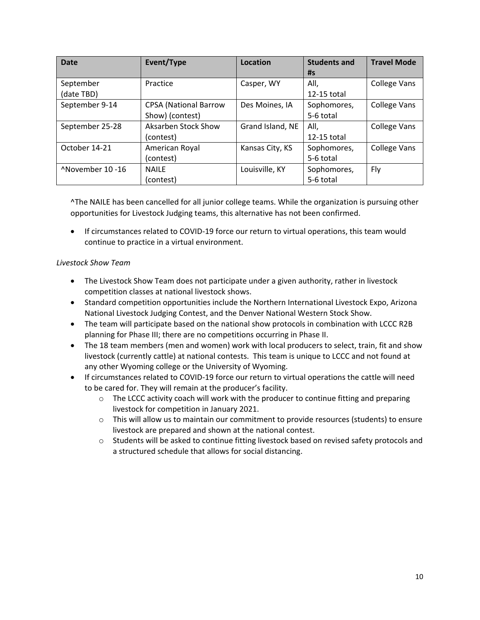| <b>Date</b>      | Event/Type                   | Location         | <b>Students and</b> | <b>Travel Mode</b>  |
|------------------|------------------------------|------------------|---------------------|---------------------|
|                  |                              |                  | #s                  |                     |
| September        | Practice                     | Casper, WY       | All,                | <b>College Vans</b> |
| (date TBD)       |                              |                  | 12-15 total         |                     |
| September 9-14   | <b>CPSA</b> (National Barrow | Des Moines, IA   | Sophomores,         | <b>College Vans</b> |
|                  | Show) (contest)              |                  | 5-6 total           |                     |
| September 25-28  | Aksarben Stock Show          | Grand Island, NE | All,                | <b>College Vans</b> |
|                  | (contest)                    |                  | 12-15 total         |                     |
| October 14-21    | American Royal               | Kansas City, KS  | Sophomores,         | <b>College Vans</b> |
|                  | (contest)                    |                  | 5-6 total           |                     |
| ^November 10 -16 | <b>NAILE</b>                 | Louisville, KY   | Sophomores,         | Fly                 |
|                  | (contest)                    |                  | 5-6 total           |                     |

^The NAILE has been cancelled for all junior college teams. While the organization is pursuing other opportunities for Livestock Judging teams, this alternative has not been confirmed.

• If circumstances related to COVID-19 force our return to virtual operations, this team would continue to practice in a virtual environment.

#### *Livestock Show Team*

- The Livestock Show Team does not participate under a given authority, rather in livestock competition classes at national livestock shows.
- Standard competition opportunities include the Northern International Livestock Expo, Arizona National Livestock Judging Contest, and the Denver National Western Stock Show.
- The team will participate based on the national show protocols in combination with LCCC R2B planning for Phase III; there are no competitions occurring in Phase II.
- The 18 team members (men and women) work with local producers to select, train, fit and show livestock (currently cattle) at national contests. This team is unique to LCCC and not found at any other Wyoming college or the University of Wyoming.
- If circumstances related to COVID-19 force our return to virtual operations the cattle will need to be cared for. They will remain at the producer's facility.
	- o The LCCC activity coach will work with the producer to continue fitting and preparing livestock for competition in January 2021.
	- $\circ$  This will allow us to maintain our commitment to provide resources (students) to ensure livestock are prepared and shown at the national contest.
	- o Students will be asked to continue fitting livestock based on revised safety protocols and a structured schedule that allows for social distancing.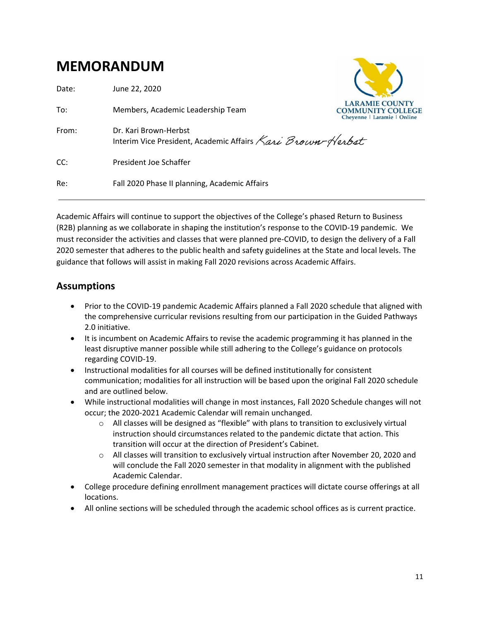# <span id="page-10-0"></span>**MEMORANDUM**

| Date: | June 22, 2020                                                                       |                                                                                  |
|-------|-------------------------------------------------------------------------------------|----------------------------------------------------------------------------------|
| To:   | Members, Academic Leadership Team                                                   | <b>LARAMIE COUNTY</b><br><b>COMMUNITY COLLEGE</b><br>Chevenne   Laramie   Online |
| From: | Dr. Kari Brown-Herbst<br>Interim Vice President, Academic Affairs Kari Brown-Herbst |                                                                                  |
| CC:   | President Joe Schaffer                                                              |                                                                                  |
| Re:   | Fall 2020 Phase II planning, Academic Affairs                                       |                                                                                  |
|       |                                                                                     |                                                                                  |

Academic Affairs will continue to support the objectives of the College's phased Return to Business (R2B) planning as we collaborate in shaping the institution's response to the COVID-19 pandemic. We must reconsider the activities and classes that were planned pre-COVID, to design the delivery of a Fall 2020 semester that adheres to the public health and safety guidelines at the State and local levels. The guidance that follows will assist in making Fall 2020 revisions across Academic Affairs.

# **Assumptions**

- Prior to the COVID-19 pandemic Academic Affairs planned a Fall 2020 schedule that aligned with the comprehensive curricular revisions resulting from our participation in the Guided Pathways 2.0 initiative.
- It is incumbent on Academic Affairs to revise the academic programming it has planned in the least disruptive manner possible while still adhering to the College's guidance on protocols regarding COVID-19.
- Instructional modalities for all courses will be defined institutionally for consistent communication; modalities for all instruction will be based upon the original Fall 2020 schedule and are outlined below.
- While instructional modalities will change in most instances, Fall 2020 Schedule changes will not occur; the 2020-2021 Academic Calendar will remain unchanged.
	- $\circ$  All classes will be designed as "flexible" with plans to transition to exclusively virtual instruction should circumstances related to the pandemic dictate that action. This transition will occur at the direction of President's Cabinet.
	- o All classes will transition to exclusively virtual instruction after November 20, 2020 and will conclude the Fall 2020 semester in that modality in alignment with the published Academic Calendar.
- College procedure defining enrollment management practices will dictate course offerings at all locations.
- All online sections will be scheduled through the academic school offices as is current practice.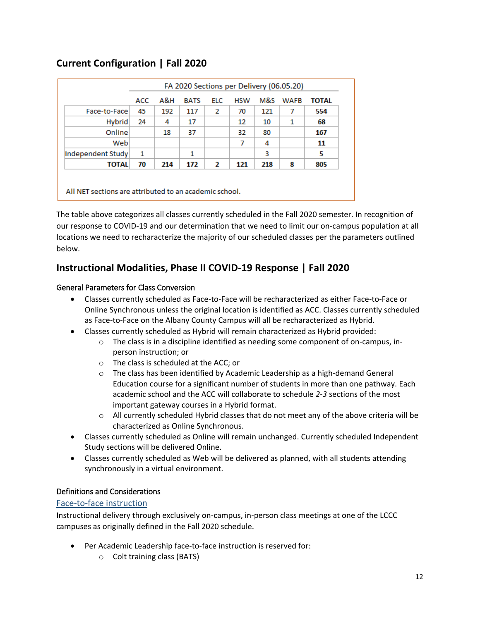# **Current Configuration | Fall 2020**

|                   | FA 2020 Sections per Delivery (06.05.20) |     |             |            |            |     |             |              |
|-------------------|------------------------------------------|-----|-------------|------------|------------|-----|-------------|--------------|
|                   | ACC                                      | A&H | <b>BATS</b> | <b>ELC</b> | <b>HSW</b> | M&S | <b>WAFB</b> | <b>TOTAL</b> |
| Face-to-Face      | 45                                       | 192 | 117         | 2          | 70         | 121 | 7           | 554          |
| Hybrid            | 24                                       | 4   | 17          |            | 12         | 10  | 1           | 68           |
| Online            |                                          | 18  | 37          |            | 32         | 80  |             | 167          |
| Web               |                                          |     |             |            | 7          | 4   |             | 11           |
| Independent Study | 1                                        |     | 1           |            |            | 3   |             | 5            |
| <b>TOTAL</b>      | 70                                       | 214 | 172         | 2          | 121        | 218 | 8           | 805          |

All NET sections are attributed to an academic school.

The table above categorizes all classes currently scheduled in the Fall 2020 semester. In recognition of our response to COVID-19 and our determination that we need to limit our on-campus population at all locations we need to recharacterize the majority of our scheduled classes per the parameters outlined below.

# **Instructional Modalities, Phase II COVID-19 Response | Fall 2020**

#### General Parameters for Class Conversion

- Classes currently scheduled as Face-to-Face will be recharacterized as either Face-to-Face or Online Synchronous unless the original location is identified as ACC. Classes currently scheduled as Face-to-Face on the Albany County Campus will all be recharacterized as Hybrid.
- Classes currently scheduled as Hybrid will remain characterized as Hybrid provided:
	- $\circ$  The class is in a discipline identified as needing some component of on-campus, inperson instruction; or
	- o The class is scheduled at the ACC; or
	- $\circ$  The class has been identified by Academic Leadership as a high-demand General Education course for a significant number of students in more than one pathway. Each academic school and the ACC will collaborate to schedule *2-3* sections of the most important gateway courses in a Hybrid format.
	- $\circ$  All currently scheduled Hybrid classes that do not meet any of the above criteria will be characterized as Online Synchronous.
- Classes currently scheduled as Online will remain unchanged. Currently scheduled Independent Study sections will be delivered Online.
- Classes currently scheduled as Web will be delivered as planned, with all students attending synchronously in a virtual environment.

#### Definitions and Considerations

#### Face-to-face instruction

Instructional delivery through exclusively on-campus, in-person class meetings at one of the LCCC campuses as originally defined in the Fall 2020 schedule.

- Per Academic Leadership face-to-face instruction is reserved for:
	- o Colt training class (BATS)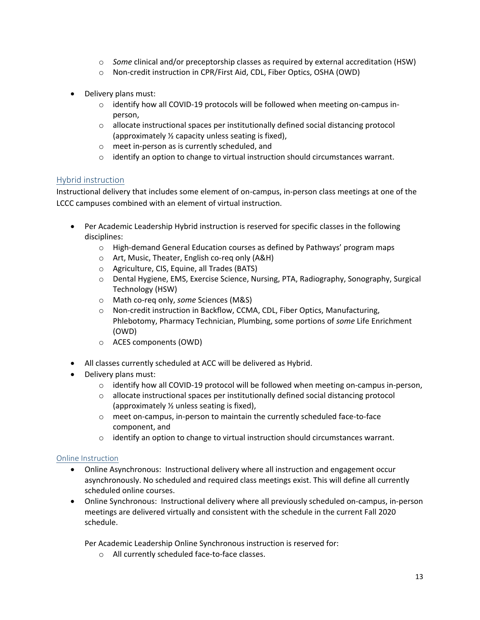- o *Some* clinical and/or preceptorship classes as required by external accreditation (HSW)
- o Non-credit instruction in CPR/First Aid, CDL, Fiber Optics, OSHA (OWD)
- Delivery plans must:
	- $\circ$  identify how all COVID-19 protocols will be followed when meeting on-campus inperson,
	- $\circ$  allocate instructional spaces per institutionally defined social distancing protocol (approximately ½ capacity unless seating is fixed),
	- o meet in-person as is currently scheduled, and
	- $\circ$  identify an option to change to virtual instruction should circumstances warrant.

#### Hybrid instruction

Instructional delivery that includes some element of on-campus, in-person class meetings at one of the LCCC campuses combined with an element of virtual instruction.

- Per Academic Leadership Hybrid instruction is reserved for specific classes in the following disciplines:
	- $\circ$  High-demand General Education courses as defined by Pathways' program maps
	- o Art, Music, Theater, English co-req only (A&H)
	- o Agriculture, CIS, Equine, all Trades (BATS)
	- o Dental Hygiene, EMS, Exercise Science, Nursing, PTA, Radiography, Sonography, Surgical Technology (HSW)
	- o Math co-req only, *some* Sciences (M&S)
	- o Non-credit instruction in Backflow, CCMA, CDL, Fiber Optics, Manufacturing, Phlebotomy, Pharmacy Technician, Plumbing, some portions of *some* Life Enrichment (OWD)
	- o ACES components (OWD)
- All classes currently scheduled at ACC will be delivered as Hybrid.
- Delivery plans must:
	- $\circ$  identify how all COVID-19 protocol will be followed when meeting on-campus in-person,
	- $\circ$  allocate instructional spaces per institutionally defined social distancing protocol (approximately ½ unless seating is fixed),
	- o meet on-campus, in-person to maintain the currently scheduled face-to-face component, and
	- $\circ$  identify an option to change to virtual instruction should circumstances warrant.

#### Online Instruction

- Online Asynchronous: Instructional delivery where all instruction and engagement occur asynchronously. No scheduled and required class meetings exist. This will define all currently scheduled online courses.
- Online Synchronous: Instructional delivery where all previously scheduled on-campus, in-person meetings are delivered virtually and consistent with the schedule in the current Fall 2020 schedule.

Per Academic Leadership Online Synchronous instruction is reserved for:

o All currently scheduled face-to-face classes.